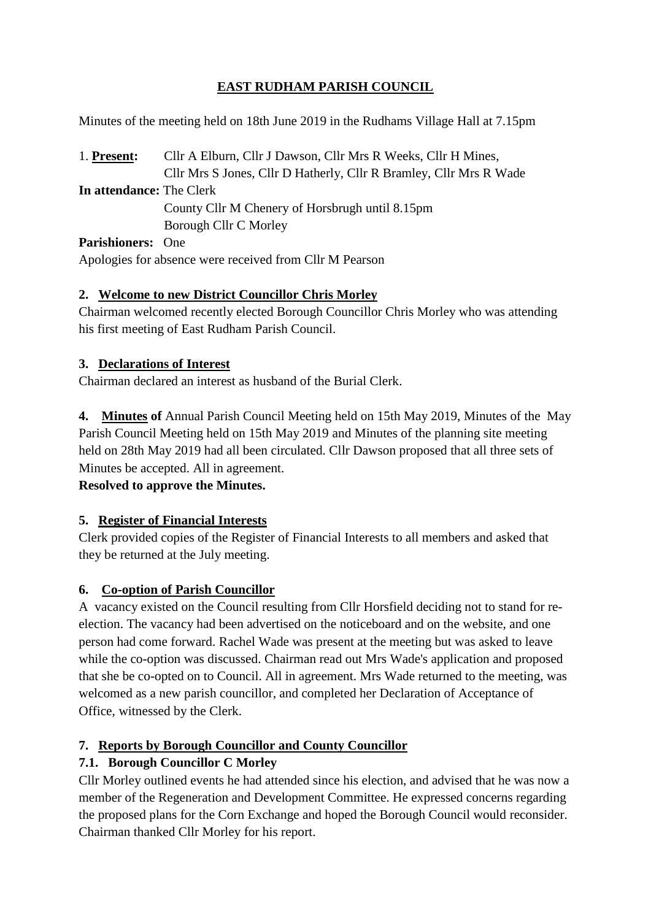# **EAST RUDHAM PARISH COUNCIL**

Minutes of the meeting held on 18th June 2019 in the Rudhams Village Hall at 7.15pm

1. **Present:** Cllr A Elburn, Cllr J Dawson, Cllr Mrs R Weeks, Cllr H Mines, Cllr Mrs S Jones, Cllr D Hatherly, Cllr R Bramley, Cllr Mrs R Wade **In attendance:** The Clerk County Cllr M Chenery of Horsbrugh until 8.15pm Borough Cllr C Morley **Parishioners:** One

Apologies for absence were received from Cllr M Pearson

### **2. Welcome to new District Councillor Chris Morley**

Chairman welcomed recently elected Borough Councillor Chris Morley who was attending his first meeting of East Rudham Parish Council.

### **3. Declarations of Interest**

Chairman declared an interest as husband of the Burial Clerk.

**4. Minutes of** Annual Parish Council Meeting held on 15th May 2019, Minutes of the May Parish Council Meeting held on 15th May 2019 and Minutes of the planning site meeting held on 28th May 2019 had all been circulated. Cllr Dawson proposed that all three sets of Minutes be accepted. All in agreement.

**Resolved to approve the Minutes.**

### **5. Register of Financial Interests**

Clerk provided copies of the Register of Financial Interests to all members and asked that they be returned at the July meeting.

### **6. Co-option of Parish Councillor**

A vacancy existed on the Council resulting from Cllr Horsfield deciding not to stand for reelection. The vacancy had been advertised on the noticeboard and on the website, and one person had come forward. Rachel Wade was present at the meeting but was asked to leave while the co-option was discussed. Chairman read out Mrs Wade's application and proposed that she be co-opted on to Council. All in agreement. Mrs Wade returned to the meeting, was welcomed as a new parish councillor, and completed her Declaration of Acceptance of Office, witnessed by the Clerk.

# **7. Reports by Borough Councillor and County Councillor**

# **7.1. Borough Councillor C Morley**

Cllr Morley outlined events he had attended since his election, and advised that he was now a member of the Regeneration and Development Committee. He expressed concerns regarding the proposed plans for the Corn Exchange and hoped the Borough Council would reconsider. Chairman thanked Cllr Morley for his report.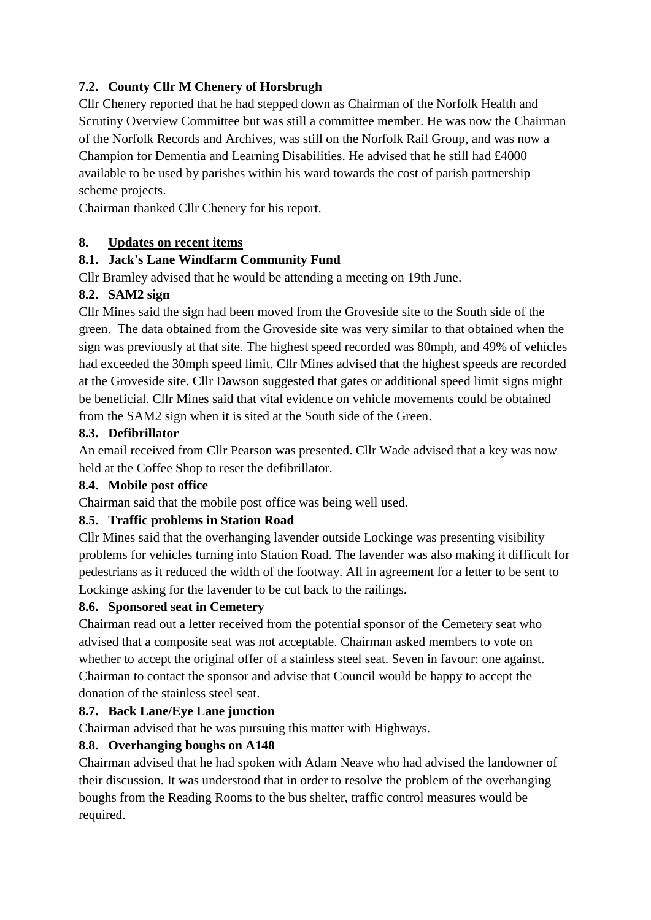## **7.2. County Cllr M Chenery of Horsbrugh**

Cllr Chenery reported that he had stepped down as Chairman of the Norfolk Health and Scrutiny Overview Committee but was still a committee member. He was now the Chairman of the Norfolk Records and Archives, was still on the Norfolk Rail Group, and was now a Champion for Dementia and Learning Disabilities. He advised that he still had £4000 available to be used by parishes within his ward towards the cost of parish partnership scheme projects.

Chairman thanked Cllr Chenery for his report.

#### **8. Updates on recent items**

#### **8.1. Jack's Lane Windfarm Community Fund**

Cllr Bramley advised that he would be attending a meeting on 19th June.

#### **8.2. SAM2 sign**

Cllr Mines said the sign had been moved from the Groveside site to the South side of the green. The data obtained from the Groveside site was very similar to that obtained when the sign was previously at that site. The highest speed recorded was 80mph, and 49% of vehicles had exceeded the 30mph speed limit. Cllr Mines advised that the highest speeds are recorded at the Groveside site. Cllr Dawson suggested that gates or additional speed limit signs might be beneficial. Cllr Mines said that vital evidence on vehicle movements could be obtained from the SAM2 sign when it is sited at the South side of the Green.

#### **8.3. Defibrillator**

An email received from Cllr Pearson was presented. Cllr Wade advised that a key was now held at the Coffee Shop to reset the defibrillator.

### **8.4. Mobile post office**

Chairman said that the mobile post office was being well used.

### **8.5. Traffic problems in Station Road**

Cllr Mines said that the overhanging lavender outside Lockinge was presenting visibility problems for vehicles turning into Station Road. The lavender was also making it difficult for pedestrians as it reduced the width of the footway. All in agreement for a letter to be sent to Lockinge asking for the lavender to be cut back to the railings.

#### **8.6. Sponsored seat in Cemetery**

Chairman read out a letter received from the potential sponsor of the Cemetery seat who advised that a composite seat was not acceptable. Chairman asked members to vote on whether to accept the original offer of a stainless steel seat. Seven in favour: one against. Chairman to contact the sponsor and advise that Council would be happy to accept the donation of the stainless steel seat.

#### **8.7. Back Lane/Eye Lane junction**

Chairman advised that he was pursuing this matter with Highways.

### **8.8. Overhanging boughs on A148**

Chairman advised that he had spoken with Adam Neave who had advised the landowner of their discussion. It was understood that in order to resolve the problem of the overhanging boughs from the Reading Rooms to the bus shelter, traffic control measures would be required.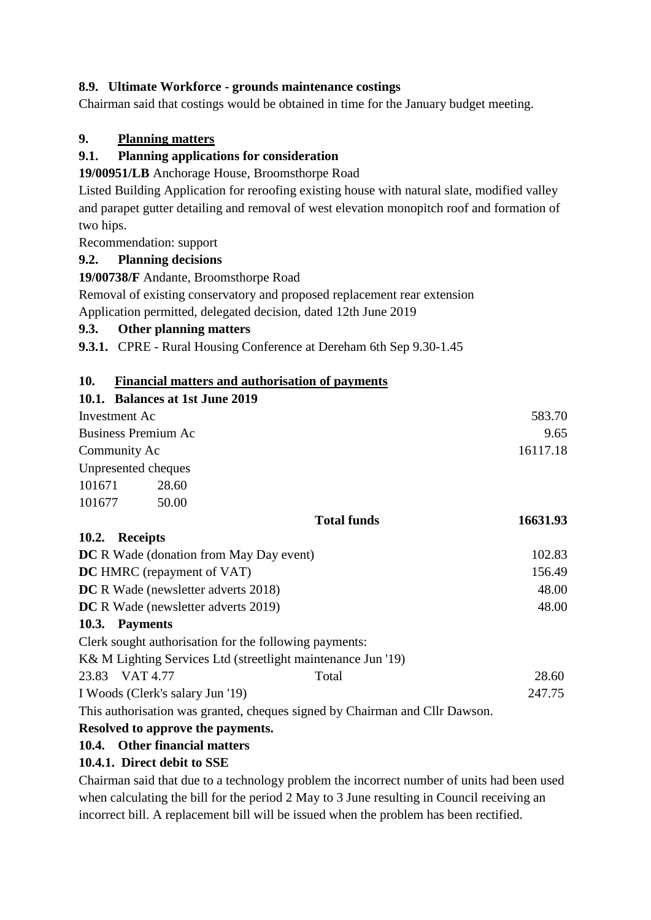### **8.9. Ultimate Workforce - grounds maintenance costings**

Chairman said that costings would be obtained in time for the January budget meeting.

## **9. Planning matters**

### **9.1. Planning applications for consideration**

**19/00951/LB** Anchorage House, Broomsthorpe Road

Listed Building Application for reroofing existing house with natural slate, modified valley and parapet gutter detailing and removal of west elevation monopitch roof and formation of two hips.

Recommendation: support

## **9.2. Planning decisions**

**19/00738/F** Andante, Broomsthorpe Road

Removal of existing conservatory and proposed replacement rear extension Application permitted, delegated decision, dated 12th June 2019

## **9.3. Other planning matters**

**9.3.1.** CPRE - Rural Housing Conference at Dereham 6th Sep 9.30-1.45

## **10. Financial matters and authorisation of payments**

|                                                | 10.1. Balances at 1st June 2019 |                                                                             |          |
|------------------------------------------------|---------------------------------|-----------------------------------------------------------------------------|----------|
| Investment Ac                                  |                                 |                                                                             | 583.70   |
| <b>Business Premium Ac</b>                     |                                 |                                                                             | 9.65     |
| Community Ac                                   |                                 |                                                                             | 16117.18 |
|                                                | Unpresented cheques             |                                                                             |          |
| 101671                                         | 28.60                           |                                                                             |          |
| 101677                                         | 50.00                           |                                                                             |          |
|                                                |                                 | <b>Total funds</b>                                                          | 16631.93 |
| 10.2. Receipts                                 |                                 |                                                                             |          |
| <b>DC</b> R Wade (donation from May Day event) |                                 |                                                                             | 102.83   |
| DC HMRC (repayment of VAT)                     |                                 |                                                                             | 156.49   |
| <b>DC</b> R Wade (newsletter adverts 2018)     |                                 |                                                                             | 48.00    |
| <b>DC</b> R Wade (newsletter adverts 2019)     |                                 |                                                                             | 48.00    |
| 10.3. Payments                                 |                                 |                                                                             |          |
|                                                |                                 | Clerk sought authorisation for the following payments:                      |          |
|                                                |                                 | K& M Lighting Services Ltd (streetlight maintenance Jun '19)                |          |
| 23.83 VAT 4.77                                 |                                 | Total                                                                       | 28.60    |
| I Woods (Clerk's salary Jun '19)               |                                 |                                                                             | 247.75   |
|                                                |                                 | This authorisation was granted, cheques signed by Chairman and Cllr Dawson. |          |

## **Resolved to approve the payments.**

# **10.4. Other financial matters**

# **10.4.1. Direct debit to SSE**

Chairman said that due to a technology problem the incorrect number of units had been used when calculating the bill for the period 2 May to 3 June resulting in Council receiving an incorrect bill. A replacement bill will be issued when the problem has been rectified.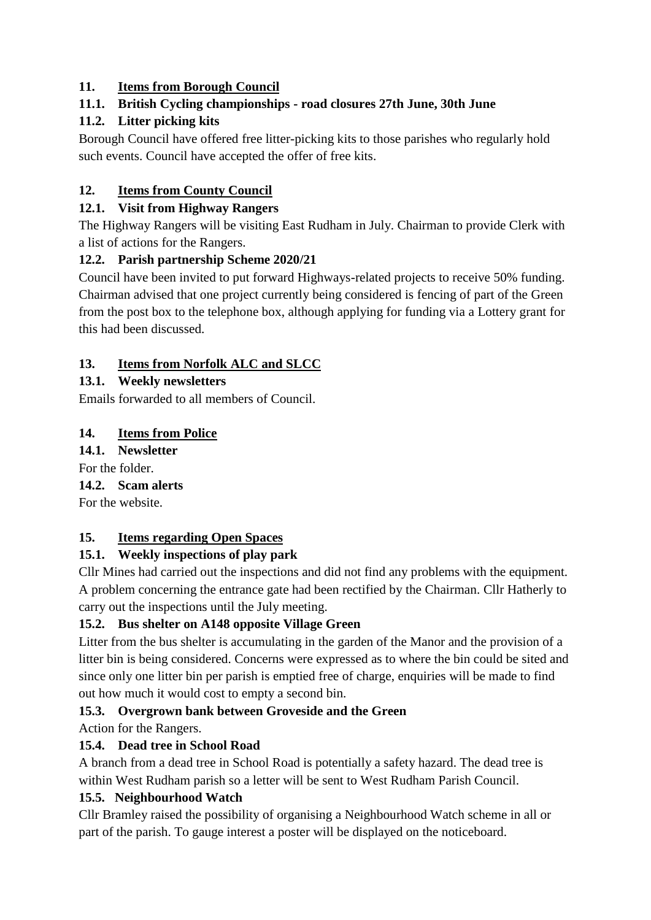## **11. Items from Borough Council**

## **11.1. British Cycling championships - road closures 27th June, 30th June**

### **11.2. Litter picking kits**

Borough Council have offered free litter-picking kits to those parishes who regularly hold such events. Council have accepted the offer of free kits.

# **12. Items from County Council**

### **12.1. Visit from Highway Rangers**

The Highway Rangers will be visiting East Rudham in July. Chairman to provide Clerk with a list of actions for the Rangers.

## **12.2. Parish partnership Scheme 2020/21**

Council have been invited to put forward Highways-related projects to receive 50% funding. Chairman advised that one project currently being considered is fencing of part of the Green from the post box to the telephone box, although applying for funding via a Lottery grant for this had been discussed.

## **13. Items from Norfolk ALC and SLCC**

## **13.1. Weekly newsletters**

Emails forwarded to all members of Council.

### **14. Items from Police**

### **14.1. Newsletter**

For the folder.

### **14.2. Scam alerts**

For the website.

### **15. Items regarding Open Spaces**

# **15.1. Weekly inspections of play park**

Cllr Mines had carried out the inspections and did not find any problems with the equipment. A problem concerning the entrance gate had been rectified by the Chairman. Cllr Hatherly to carry out the inspections until the July meeting.

# **15.2. Bus shelter on A148 opposite Village Green**

Litter from the bus shelter is accumulating in the garden of the Manor and the provision of a litter bin is being considered. Concerns were expressed as to where the bin could be sited and since only one litter bin per parish is emptied free of charge, enquiries will be made to find out how much it would cost to empty a second bin.

# **15.3. Overgrown bank between Groveside and the Green**

Action for the Rangers.

# **15.4. Dead tree in School Road**

A branch from a dead tree in School Road is potentially a safety hazard. The dead tree is within West Rudham parish so a letter will be sent to West Rudham Parish Council.

### **15.5. Neighbourhood Watch**

Cllr Bramley raised the possibility of organising a Neighbourhood Watch scheme in all or part of the parish. To gauge interest a poster will be displayed on the noticeboard.